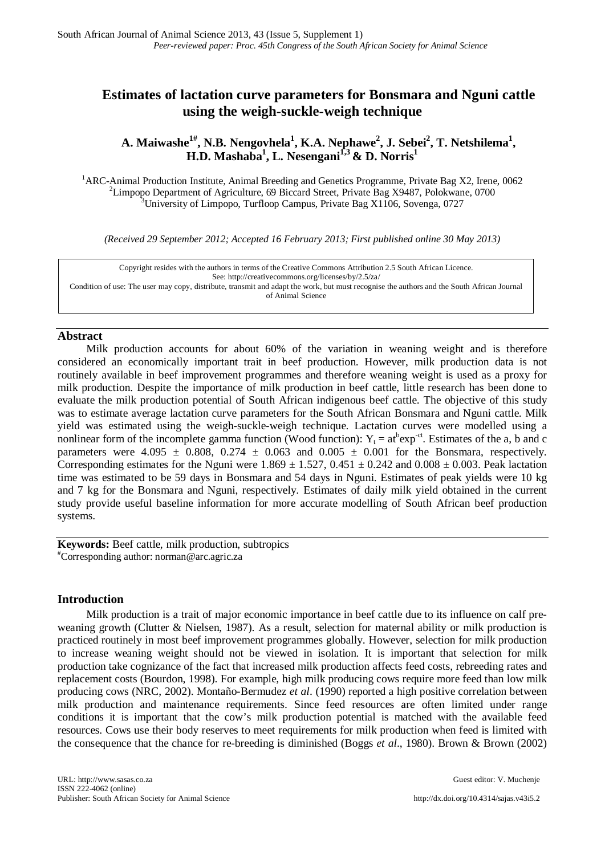# **Estimates of lactation curve parameters for Bonsmara and Nguni cattle using the weigh-suckle-weigh technique**

# A. Maiwashe<sup>1#</sup>, N.B. Nengovhela<sup>1</sup>, K.A. Nephawe<sup>2</sup>, J. Sebei<sup>2</sup>, T. Netshilema<sup>1</sup>, **H.D. Mashaba1 , L. Nesengani1,3 & D. Norris1**

<sup>1</sup>ARC-Animal Production Institute, Animal Breeding and Genetics Programme, Private Bag X2, Irene, 0062<sup>2</sup>I impone Department of Agriculture, 60 Biocerd Street, Private Bag X0487, Polokyano, 0700 <sup>2</sup>Limpopo Department of Agriculture, 69 Biccard Street, Private Bag X9487, Polokwane, 0700 <sup>3</sup>University of Limpopo, Turfloop Campus, Private Bag X1106, Sovenga, 0727

*(Received 29 September 2012; Accepted 16 February 2013; First published online 30 May 2013)*

Copyright resides with the authors in terms of the Creative Commons Attribution 2.5 South African Licence. See[: http://creativecommons.org/licenses/by/2.5/za/](http://creativecommons.org/licenses/by/2.5/za/)  Condition of use: The user may copy, distribute, transmit and adapt the work, but must recognise the authors and the South African Journal of Animal Science

## **Abstract**

Milk production accounts for about 60% of the variation in weaning weight and is therefore considered an economically important trait in beef production. However, milk production data is not routinely available in beef improvement programmes and therefore weaning weight is used as a proxy for milk production. Despite the importance of milk production in beef cattle, little research has been done to evaluate the milk production potential of South African indigenous beef cattle. The objective of this study was to estimate average lactation curve parameters for the South African Bonsmara and Nguni cattle. Milk yield was estimated using the weigh-suckle-weigh technique. Lactation curves were modelled using a nonlinear form of the incomplete gamma function (Wood function):  $Y_t = at^b exp^{-ct}$ . Estimates of the a, b and c parameters were  $4.095 \pm 0.808$ ,  $0.274 \pm 0.063$  and  $0.005 \pm 0.001$  for the Bonsmara, respectively. Corresponding estimates for the Nguni were  $1.869 \pm 1.527$ ,  $0.451 \pm 0.242$  and  $0.008 \pm 0.003$ . Peak lactation time was estimated to be 59 days in Bonsmara and 54 days in Nguni. Estimates of peak yields were 10 kg and 7 kg for the Bonsmara and Nguni, respectively. Estimates of daily milk yield obtained in the current study provide useful baseline information for more accurate modelling of South African beef production systems.

**Keywords:** Beef cattle, milk production, subtropics # Corresponding author[: norman@arc.agric.za](mailto:norman@arc.agric.za)

### **Introduction**

Milk production is a trait of major economic importance in beef cattle due to its influence on calf preweaning growth (Clutter & Nielsen, 1987). As a result, selection for maternal ability or milk production is practiced routinely in most beef improvement programmes globally. However, selection for milk production to increase weaning weight should not be viewed in isolation. It is important that selection for milk production take cognizance of the fact that increased milk production affects feed costs, rebreeding rates and replacement costs (Bourdon, 1998). For example, high milk producing cows require more feed than low milk producing cows (NRC, 2002). Montaño-Bermudez *et al*. (1990) reported a high positive correlation between milk production and maintenance requirements. Since feed resources are often limited under range conditions it is important that the cow's milk production potential is matched with the available feed resources. Cows use their body reserves to meet requirements for milk production when feed is limited with the consequence that the chance for re-breeding is diminished (Boggs *et al*., 1980). Brown & Brown (2002)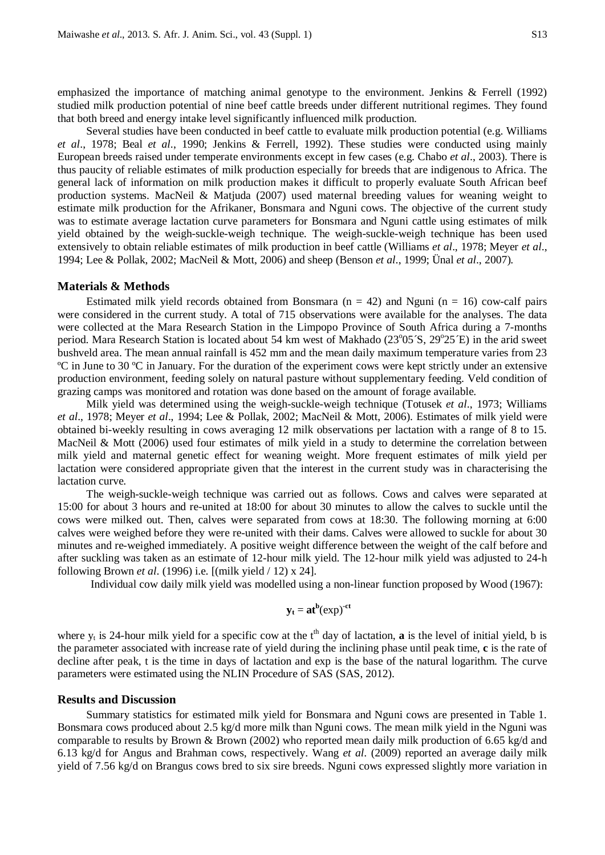emphasized the importance of matching animal genotype to the environment. Jenkins & Ferrell (1992) studied milk production potential of nine beef cattle breeds under different nutritional regimes. They found that both breed and energy intake level significantly influenced milk production.

Several studies have been conducted in beef cattle to evaluate milk production potential (e.g. Williams *et al*., 1978; Beal *et al*., 1990; Jenkins & Ferrell, 1992). These studies were conducted using mainly European breeds raised under temperate environments except in few cases (e.g. Chabo *et al*., 2003). There is thus paucity of reliable estimates of milk production especially for breeds that are indigenous to Africa. The general lack of information on milk production makes it difficult to properly evaluate South African beef production systems. MacNeil & Matjuda (2007) used maternal breeding values for weaning weight to estimate milk production for the Afrikaner, Bonsmara and Nguni cows. The objective of the current study was to estimate average lactation curve parameters for Bonsmara and Nguni cattle using estimates of milk yield obtained by the weigh-suckle-weigh technique. The weigh-suckle-weigh technique has been used extensively to obtain reliable estimates of milk production in beef cattle (Williams *et al*., 1978; Meyer *et al*., 1994; Lee & Pollak, 2002; MacNeil & Mott, 2006) and sheep (Benson *et al*., 1999; Ünal *et al*., 2007).

#### **Materials & Methods**

Estimated milk yield records obtained from Bonsmara ( $n = 42$ ) and Nguni ( $n = 16$ ) cow-calf pairs were considered in the current study. A total of 715 observations were available for the analyses. The data were collected at the Mara Research Station in the Limpopo Province of South Africa during a 7-months period. Mara Research Station is located about 54 km west of Makhado (23°05´S, 29°25´E) in the arid sweet bushveld area. The mean annual rainfall is 452 mm and the mean daily maximum temperature varies from 23 ºC in June to 30 ºC in January. For the duration of the experiment cows were kept strictly under an extensive production environment, feeding solely on natural pasture without supplementary feeding. Veld condition of grazing camps was monitored and rotation was done based on the amount of forage available.

Milk yield was determined using the weigh-suckle-weigh technique (Totusek *et al*., 1973; Williams *et al*., 1978; Meyer *et al*., 1994; Lee & Pollak, 2002; MacNeil & Mott, 2006). Estimates of milk yield were obtained bi-weekly resulting in cows averaging 12 milk observations per lactation with a range of 8 to 15. MacNeil & Mott (2006) used four estimates of milk yield in a study to determine the correlation between milk yield and maternal genetic effect for weaning weight. More frequent estimates of milk yield per lactation were considered appropriate given that the interest in the current study was in characterising the lactation curve.

The weigh-suckle-weigh technique was carried out as follows. Cows and calves were separated at 15:00 for about 3 hours and re-united at 18:00 for about 30 minutes to allow the calves to suckle until the cows were milked out. Then, calves were separated from cows at 18:30. The following morning at 6:00 calves were weighed before they were re-united with their dams. Calves were allowed to suckle for about 30 minutes and re-weighed immediately. A positive weight difference between the weight of the calf before and after suckling was taken as an estimate of 12-hour milk yield. The 12-hour milk yield was adjusted to 24-h following Brown *et al*. (1996) i.e. [(milk yield / 12) x 24].

Individual cow daily milk yield was modelled using a non-linear function proposed by Wood (1967):

$$
y_t = at^b(\exp)^{-ct}
$$

where  $y_t$  is 24-hour milk yield for a specific cow at the  $t<sup>th</sup>$  day of lactation, **a** is the level of initial yield, b is the parameter associated with increase rate of yield during the inclining phase until peak time, **c** is the rate of decline after peak, t is the time in days of lactation and exp is the base of the natural logarithm. The curve parameters were estimated using the NLIN Procedure of SAS (SAS, 2012).

#### **Results and Discussion**

Summary statistics for estimated milk yield for Bonsmara and Nguni cows are presented in Table 1. Bonsmara cows produced about 2.5 kg/d more milk than Nguni cows. The mean milk yield in the Nguni was comparable to results by Brown & Brown (2002) who reported mean daily milk production of 6.65 kg/d and 6.13 kg/d for Angus and Brahman cows, respectively. Wang *et al*. (2009) reported an average daily milk yield of 7.56 kg/d on Brangus cows bred to six sire breeds. Nguni cows expressed slightly more variation in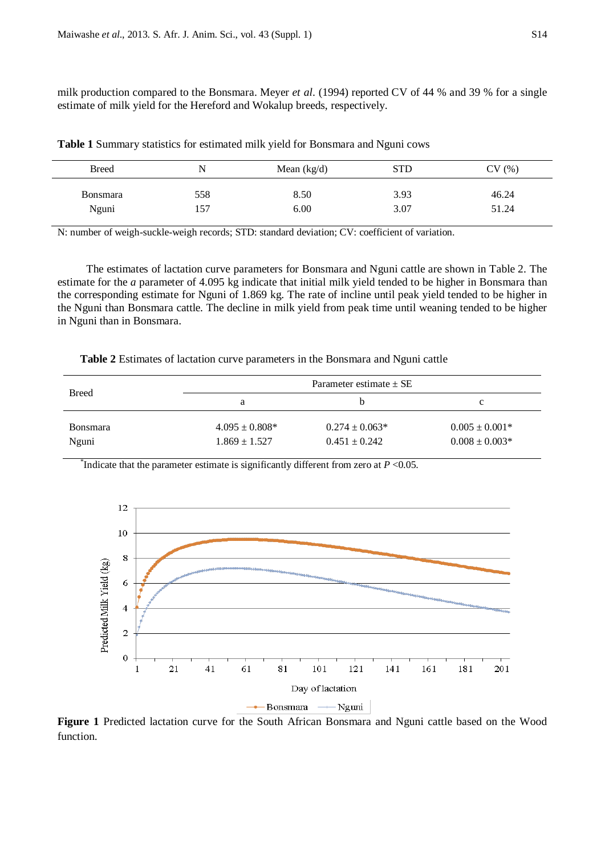milk production compared to the Bonsmara. Meyer *et al*. (1994) reported CV of 44 % and 39 % for a single estimate of milk yield for the Hereford and Wokalup breeds, respectively.

| <b>Breed</b>    | N   | Mean $(kg/d)$ | <b>STD</b> | CV(%) |
|-----------------|-----|---------------|------------|-------|
| <b>Bonsmara</b> | 558 | 8.50          | 3.93       | 46.24 |
| Nguni           | 157 | 6.00          | 3.07       | 51.24 |

**Table 1** Summary statistics for estimated milk yield for Bonsmara and Nguni cows

N: number of weigh-suckle-weigh records; STD: standard deviation; CV: coefficient of variation.

The estimates of lactation curve parameters for Bonsmara and Nguni cattle are shown in Table 2. The estimate for the *a* parameter of 4.095 kg indicate that initial milk yield tended to be higher in Bonsmara than the corresponding estimate for Nguni of 1.869 kg. The rate of incline until peak yield tended to be higher in the Nguni than Bonsmara cattle. The decline in milk yield from peak time until weaning tended to be higher in Nguni than in Bonsmara.

**Table 2** Estimates of lactation curve parameters in the Bonsmara and Nguni cattle

| <b>Breed</b>    |                    | Parameter estimate $\pm$ SE |                    |
|-----------------|--------------------|-----------------------------|--------------------|
|                 | а                  | n                           | c                  |
| <b>Bonsmara</b> | $4.095 \pm 0.808*$ | $0.274 \pm 0.063*$          | $0.005 \pm 0.001*$ |
| Nguni           | $1.869 \pm 1.527$  | $0.451 \pm 0.242$           | $0.008 \pm 0.003*$ |

<sup>\*</sup>Indicate that the parameter estimate is significantly different from zero at  $P < 0.05$ .



**Figure 1** Predicted lactation curve for the South African Bonsmara and Nguni cattle based on the Wood function.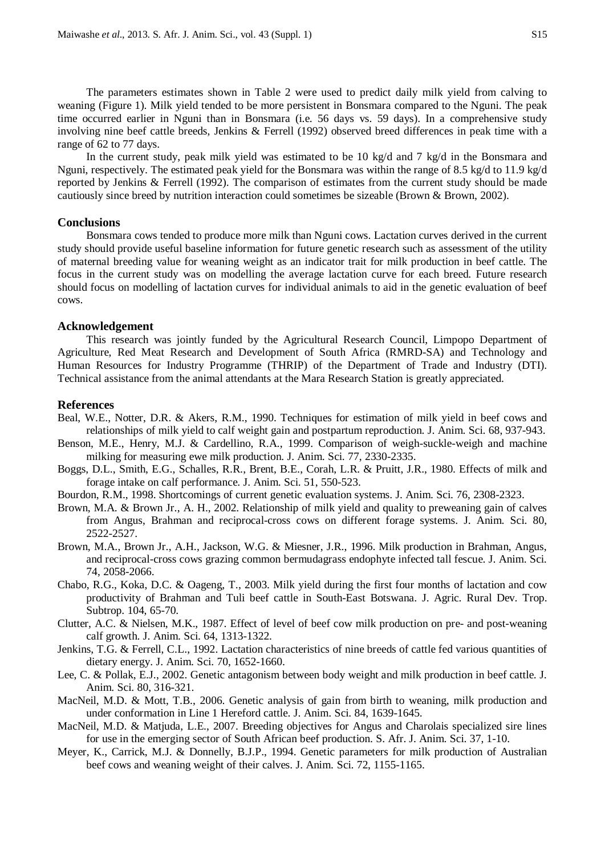The parameters estimates shown in Table 2 were used to predict daily milk yield from calving to weaning (Figure 1). Milk yield tended to be more persistent in Bonsmara compared to the Nguni. The peak time occurred earlier in Nguni than in Bonsmara (i.e. 56 days vs. 59 days). In a comprehensive study involving nine beef cattle breeds, Jenkins & Ferrell (1992) observed breed differences in peak time with a range of 62 to 77 days.

In the current study, peak milk yield was estimated to be 10 kg/d and 7 kg/d in the Bonsmara and Nguni, respectively. The estimated peak yield for the Bonsmara was within the range of 8.5 kg/d to 11.9 kg/d reported by Jenkins & Ferrell (1992). The comparison of estimates from the current study should be made cautiously since breed by nutrition interaction could sometimes be sizeable (Brown & Brown, 2002).

#### **Conclusions**

Bonsmara cows tended to produce more milk than Nguni cows. Lactation curves derived in the current study should provide useful baseline information for future genetic research such as assessment of the utility of maternal breeding value for weaning weight as an indicator trait for milk production in beef cattle. The focus in the current study was on modelling the average lactation curve for each breed. Future research should focus on modelling of lactation curves for individual animals to aid in the genetic evaluation of beef cows.

### **Acknowledgement**

This research was jointly funded by the Agricultural Research Council, Limpopo Department of Agriculture, Red Meat Research and Development of South Africa (RMRD-SA) and Technology and Human Resources for Industry Programme (THRIP) of the Department of Trade and Industry (DTI). Technical assistance from the animal attendants at the Mara Research Station is greatly appreciated.

#### **References**

- Beal, W.E., Notter, D.R. & Akers, R.M., 1990. Techniques for estimation of milk yield in beef cows and relationships of milk yield to calf weight gain and postpartum reproduction. J. Anim. Sci. 68, 937-943.
- Benson, M.E., Henry, M.J. & Cardellino, R.A., 1999. Comparison of weigh-suckle-weigh and machine milking for measuring ewe milk production. J. Anim. Sci. 77, 2330-2335.
- Boggs, D.L., Smith, E.G., Schalles, R.R., Brent, B.E., Corah, L.R. & Pruitt, J.R., 1980. Effects of milk and forage intake on calf performance. J. Anim. Sci. 51, 550-523.
- Bourdon, R.M., 1998. Shortcomings of current genetic evaluation systems. J. Anim. Sci. 76, 2308-2323.
- Brown, M.A. & Brown Jr., A. H., 2002. Relationship of milk yield and quality to preweaning gain of calves from Angus, Brahman and reciprocal-cross cows on different forage systems. J. Anim. Sci. 80, 2522-2527.
- Brown, M.A., Brown Jr., A.H., Jackson, W.G. & Miesner, J.R., 1996. Milk production in Brahman, Angus, and reciprocal-cross cows grazing common bermudagrass endophyte infected tall fescue. J. Anim. Sci. 74, 2058-2066.
- Chabo, R.G., Koka, D.C. & Oageng, T., 2003. Milk yield during the first four months of lactation and cow productivity of Brahman and Tuli beef cattle in South-East Botswana. J. Agric. Rural Dev. Trop. Subtrop. 104, 65-70.
- Clutter, A.C. & Nielsen, M.K., 1987. Effect of level of beef cow milk production on pre- and post-weaning calf growth. J. Anim. Sci. 64, 1313-1322.
- Jenkins, T.G. & Ferrell, C.L., 1992. Lactation characteristics of nine breeds of cattle fed various quantities of dietary energy. J. Anim. Sci. 70, 1652-1660.
- Lee, C. & Pollak, E.J., 2002. Genetic antagonism between body weight and milk production in beef cattle. J. Anim. Sci. 80, 316-321.
- MacNeil, M.D. & Mott, T.B., 2006. Genetic analysis of gain from birth to weaning, milk production and under conformation in Line 1 Hereford cattle. J. Anim. Sci. 84, 1639-1645.
- MacNeil, M.D. & Matjuda, L.E., 2007. Breeding objectives for Angus and Charolais specialized sire lines for use in the emerging sector of South African beef production. S. Afr. J. Anim. Sci. 37, 1-10.
- Meyer, K., Carrick, M.J. & Donnelly, B.J.P., 1994. Genetic parameters for milk production of Australian beef cows and weaning weight of their calves. J. Anim. Sci. 72, 1155-1165.